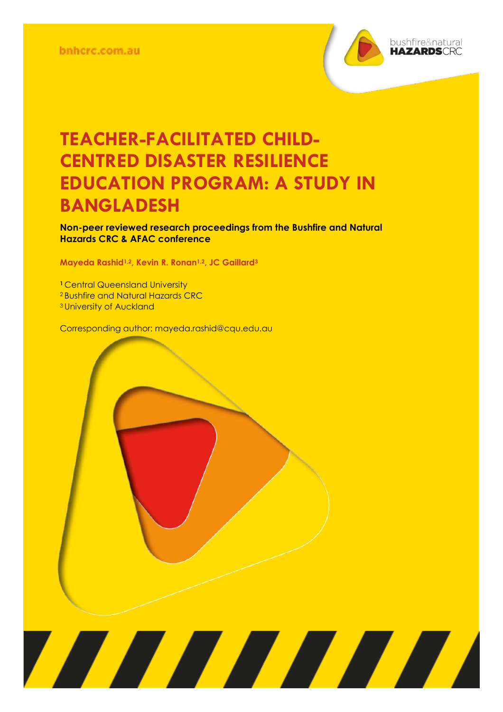

**Non-peer reviewed research proceedings from the Bushfire and Natural Hazards CRC & AFAC conference** 

<u> Alian Alian Karena dago dago da karena dago da karena dago da karena dago da karena da karena da karena da k</u>

**Mayeda Rashid1,2, Kevin R. Ronan1,2, JC Gaillard<sup>3</sup>**

**<sup>1</sup>** Central Queensland University <sup>2</sup> Bushfire and Natural Hazards CRC <sup>3</sup> University of Auckland

Corresponding author: mayeda.rashid@cqu.edu.au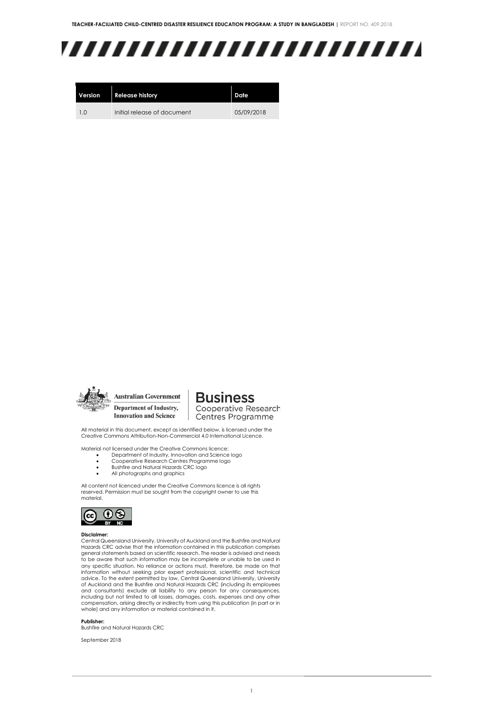# ,,,,,,,,,,,,,,,,,,,,,,,,,

| Version | <b>Release history</b>      | Date       |
|---------|-----------------------------|------------|
| 1.0     | Initial release of document | 05/09/2018 |



**Australian Government** Department of Industry, **Innovation and Science** 

**Business** Cooperative Research

Centres Programme

All material in this document, except as identified below, is licensed under the Creative Commons Attribution-Non-Commercial 4.0 International Licence.

Material not licensed under the Creative Commons licence:

- Department of Industry, Innovation and Science logo Cooperative Research Centres Programme logo
- Bushfire and Natural Hazards CRC logo
- All photographs and graphics

All content not licenced under the Creative Commons licence is all rights reserved. Permission must be sought from the copyright owner to use this material.



#### **Disclaimer:**

Central Queensland University, University of Auckland and the Bushfire and Natural Hazards CRC advise that the information contained in this publication comprises general statements based on scientific research. The reader is advised and needs to be aware that such information may be incomplete or unable to be used in any specific situation. No reliance or actions must, therefore, be made on that information without seeking prior expert professional, scientific and technical advice. To the extent permitted by law, Central Queensland University, University<br>of Auckland and the Bushfire and Natural Hazards CRC (including its employees<br>and consultants) exclude all liability to any person for any c including but not limited to all losses, damages, costs, expenses and any other compensation, arising directly or indirectly from using this publication (in part or in whole) and any information or material contained in it.

#### **Publisher:**

Bushfire and Natural Hazards CRC

September 2018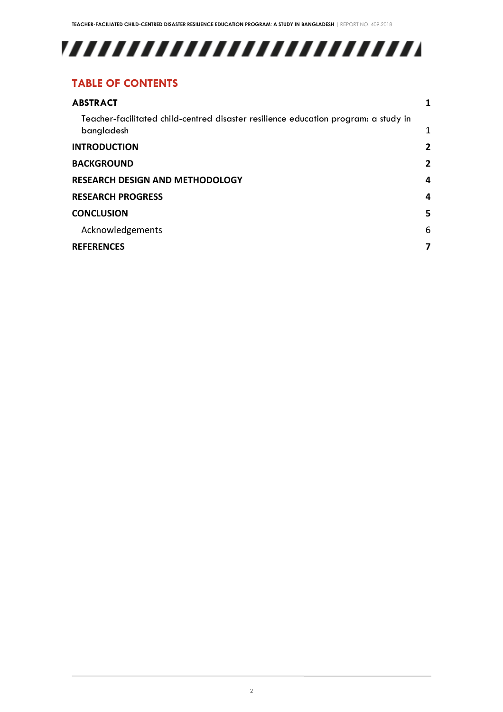# 

#### **TABLE OF CONTENTS**

| <b>ABSTRACT</b>                                                                                   |   |
|---------------------------------------------------------------------------------------------------|---|
| Teacher-facilitated child-centred disaster resilience education program: a study in<br>bangladesh | 1 |
| <b>INTRODUCTION</b>                                                                               | 2 |
| <b>BACKGROUND</b>                                                                                 | 2 |
| <b>RESEARCH DESIGN AND METHODOLOGY</b>                                                            | 4 |
| <b>RESEARCH PROGRESS</b>                                                                          | 4 |
| <b>CONCLUSION</b>                                                                                 | 5 |
| Acknowledgements                                                                                  | 6 |
| <b>REFERENCES</b>                                                                                 | 7 |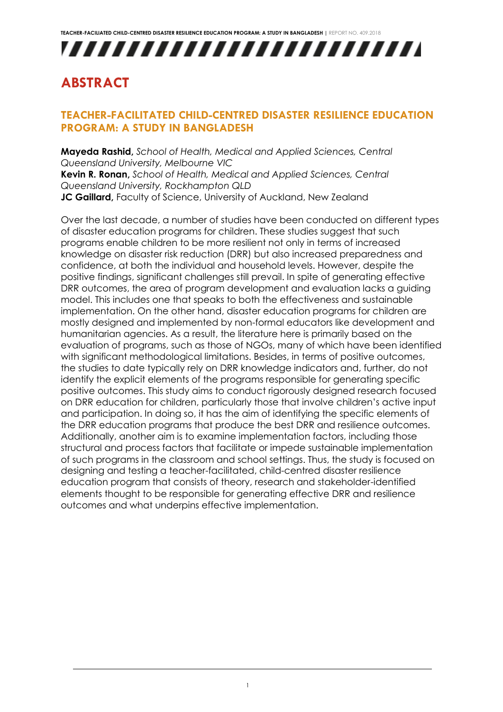# ,,,,,,,,,,,,,,,,,,,,,,,,,

### <span id="page-3-0"></span>**ABSTRACT**

#### <span id="page-3-1"></span>**TEACHER-FACILITATED CHILD-CENTRED DISASTER RESILIENCE EDUCATION PROGRAM: A STUDY IN BANGLADESH**

**Mayeda Rashid,** *School of Health, Medical and Applied Sciences, Central Queensland University, Melbourne VIC*  **Kevin R. Ronan,** *School of Health, Medical and Applied Sciences, Central Queensland University, Rockhampton QLD* **JC Gaillard, Faculty of Science, University of Auckland, New Zealand** 

Over the last decade, a number of studies have been conducted on different types of disaster education programs for children. These studies suggest that such programs enable children to be more resilient not only in terms of increased knowledge on disaster risk reduction (DRR) but also increased preparedness and confidence, at both the individual and household levels. However, despite the positive findings, significant challenges still prevail. In spite of generating effective DRR outcomes, the area of program development and evaluation lacks a guiding model. This includes one that speaks to both the effectiveness and sustainable implementation. On the other hand, disaster education programs for children are mostly designed and implemented by non-formal educators like development and humanitarian agencies. As a result, the literature here is primarily based on the evaluation of programs, such as those of NGOs, many of which have been identified with significant methodological limitations. Besides, in terms of positive outcomes, the studies to date typically rely on DRR knowledge indicators and, further, do not identify the explicit elements of the programs responsible for generating specific positive outcomes. This study aims to conduct rigorously designed research focused on DRR education for children, particularly those that involve children's active input and participation. In doing so, it has the aim of identifying the specific elements of the DRR education programs that produce the best DRR and resilience outcomes. Additionally, another aim is to examine implementation factors, including those structural and process factors that facilitate or impede sustainable implementation of such programs in the classroom and school settings. Thus, the study is focused on designing and testing a teacher-facilitated, child-centred disaster resilience education program that consists of theory, research and stakeholder-identified elements thought to be responsible for generating effective DRR and resilience outcomes and what underpins effective implementation.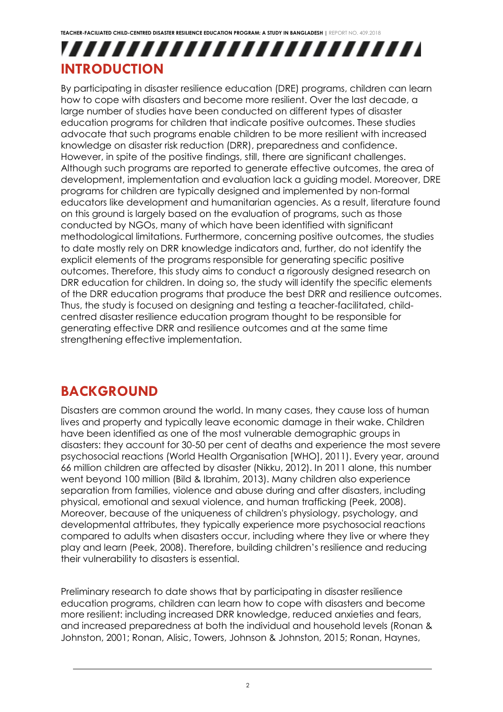## ,,,,,,,,,,,,,,,,,,,,,,,,, **INTRODUCTION**

<span id="page-4-0"></span>By participating in disaster resilience education (DRE) programs, children can learn how to cope with disasters and become more resilient. Over the last decade, a large number of studies have been conducted on different types of disaster education programs for children that indicate positive outcomes. These studies advocate that such programs enable children to be more resilient with increased knowledge on disaster risk reduction (DRR), preparedness and confidence. However, in spite of the positive findings, still, there are significant challenges. Although such programs are reported to generate effective outcomes, the area of development, implementation and evaluation lack a guiding model. Moreover, DRE programs for children are typically designed and implemented by non-formal educators like development and humanitarian agencies. As a result, literature found on this ground is largely based on the evaluation of programs, such as those conducted by NGOs, many of which have been identified with significant methodological limitations. Furthermore, concerning positive outcomes, the studies to date mostly rely on DRR knowledge indicators and, further, do not identify the explicit elements of the programs responsible for generating specific positive outcomes. Therefore, this study aims to conduct a rigorously designed research on DRR education for children. In doing so, the study will identify the specific elements of the DRR education programs that produce the best DRR and resilience outcomes. Thus, the study is focused on designing and testing a teacher-facilitated, childcentred disaster resilience education program thought to be responsible for generating effective DRR and resilience outcomes and at the same time strengthening effective implementation.

### <span id="page-4-1"></span>**BACKGROUND**

Disasters are common around the world. In many cases, they cause loss of human lives and property and typically leave economic damage in their wake. Children have been identified as one of the most vulnerable demographic groups in disasters: they account for 30-50 per cent of deaths and experience the most severe psychosocial reactions (World Health Organisation [WHO], 2011). Every year, around 66 million children are affected by disaster (Nikku, 2012). In 2011 alone, this number went beyond 100 million (Bild & Ibrahim, 2013). Many children also experience separation from families, violence and abuse during and after disasters, including physical, emotional and sexual violence, and human trafficking (Peek, 2008). Moreover, because of the uniqueness of children's physiology, psychology, and developmental attributes, they typically experience more psychosocial reactions compared to adults when disasters occur, including where they live or where they play and learn (Peek, 2008). Therefore, building children's resilience and reducing their vulnerability to disasters is essential.

Preliminary research to date shows that by participating in disaster resilience education programs, children can learn how to cope with disasters and become more resilient: including increased DRR knowledge, reduced anxieties and fears, and increased preparedness at both the individual and household levels (Ronan & Johnston, 2001; Ronan, Alisic, Towers, Johnson & Johnston, 2015; Ronan, Haynes,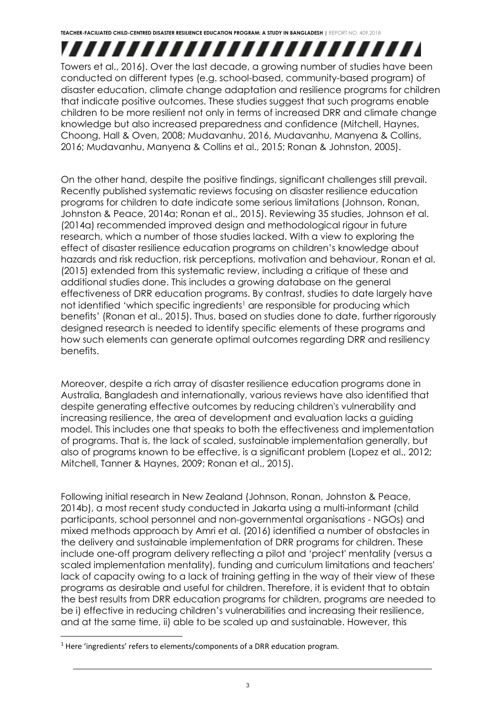,,,,,,,,,,,,,,,,,,,,,,,,,, Towers et al., 2016). Over the last decade, a growing number of studies have been conducted on different types (e.g. school-based, community-based program) of disaster education, climate change adaptation and resilience programs for children that indicate positive outcomes. These studies suggest that such programs enable children to be more resilient not only in terms of increased DRR and climate change knowledge but also increased preparedness and confidence (Mitchell, Haynes, Choong, Hall & Oven, 2008; Mudavanhu, 2016, Mudavanhu, Manyena & Collins, 2016; Mudavanhu, Manyena & Collins et al., 2015; Ronan & Johnston, 2005).

On the other hand, despite the positive findings, significant challenges still prevail. Recently published systematic reviews focusing on disaster resilience education programs for children to date indicate some serious limitations (Johnson, Ronan, Johnston & Peace, 2014a; Ronan et al., 2015). Reviewing 35 studies, Johnson et al. (2014a) recommended improved design and methodological rigour in future research, which a number of those studies lacked. With a view to exploring the effect of disaster resilience education programs on children's knowledge about hazards and risk reduction, risk perceptions, motivation and behaviour, Ronan et al. (2015) extended from this systematic review, including a critique of these and additional studies done. This includes a growing database on the general effectiveness of DRR education programs. By contrast, studies to date largely have not identified 'which specific ingredients' are responsible for producing which benefits' (Ronan et al., 2015). Thus, based on studies done to date, further rigorously designed research is needed to identify specific elements of these programs and how such elements can generate optimal outcomes regarding DRR and resiliency benefits.

Moreover, despite a rich array of disaster resilience education programs done in Australia, Bangladesh and internationally, various reviews have also identified that despite generating effective outcomes by reducing children's vulnerability and increasing resilience, the area of development and evaluation lacks a guiding model. This includes one that speaks to both the effectiveness and implementation of programs. That is, the lack of scaled, sustainable implementation generally, but also of programs known to be effective, is a significant problem (Lopez et al., 2012; Mitchell, Tanner & Haynes, 2009; Ronan et al., 2015).

Following initial research in New Zealand (Johnson, Ronan, Johnston & Peace, 2014b), a most recent study conducted in Jakarta using a multi-informant (child participants, school personnel and non-governmental organisations - NGOs) and mixed methods approach by Amri et al. (2016) identified a number of obstacles in the delivery and sustainable implementation of DRR programs for children. These include one-off program delivery reflecting a pilot and 'project' mentality (versus a scaled implementation mentality), funding and curriculum limitations and teachers' lack of capacity owing to a lack of training getting in the way of their view of these programs as desirable and useful for children. Therefore, it is evident that to obtain the best results from DRR education programs for children, programs are needed to be i) effective in reducing children's vulnerabilities and increasing their resilience, and at the same time, ii) able to be scaled up and sustainable. However, this

1

<sup>&</sup>lt;sup>1</sup> Here 'ingredients' refers to elements/components of a DRR education program.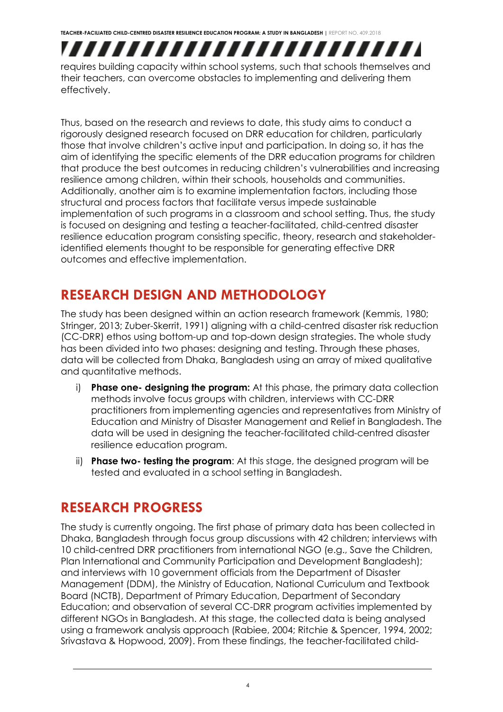

requires building capacity within school systems, such that schools themselves and their teachers, can overcome obstacles to implementing and delivering them effectively.

Thus, based on the research and reviews to date, this study aims to conduct a rigorously designed research focused on DRR education for children, particularly those that involve children's active input and participation. In doing so, it has the aim of identifying the specific elements of the DRR education programs for children that produce the best outcomes in reducing children's vulnerabilities and increasing resilience among children, within their schools, households and communities. Additionally, another aim is to examine implementation factors, including those structural and process factors that facilitate versus impede sustainable implementation of such programs in a classroom and school setting. Thus, the study is focused on designing and testing a teacher-facilitated, child-centred disaster resilience education program consisting specific, theory, research and stakeholderidentified elements thought to be responsible for generating effective DRR outcomes and effective implementation.

### <span id="page-6-0"></span>**RESEARCH DESIGN AND METHODOLOGY**

The study has been designed within an action research framework (Kemmis, 1980; Stringer, 2013; Zuber-Skerrit, 1991) aligning with a child-centred disaster risk reduction (CC-DRR) ethos using bottom-up and top-down design strategies. The whole study has been divided into two phases: designing and testing. Through these phases, data will be collected from Dhaka, Bangladesh using an array of mixed qualitative and quantitative methods.

- i) **Phase one- designing the program:** At this phase, the primary data collection methods involve focus groups with children, interviews with CC-DRR practitioners from implementing agencies and representatives from Ministry of Education and Ministry of Disaster Management and Relief in Bangladesh. The data will be used in designing the teacher-facilitated child-centred disaster resilience education program.
- ii) **Phase two- testing the program**: At this stage, the designed program will be tested and evaluated in a school setting in Bangladesh.

### <span id="page-6-1"></span>**RESEARCH PROGRESS**

The study is currently ongoing. The first phase of primary data has been collected in Dhaka, Bangladesh through focus group discussions with 42 children; interviews with 10 child-centred DRR practitioners from international NGO (e.g., Save the Children, Plan International and Community Participation and Development Bangladesh); and interviews with 10 government officials from the Department of Disaster Management (DDM), the Ministry of Education, National Curriculum and Textbook Board (NCTB), Department of Primary Education, Department of Secondary Education; and observation of several CC-DRR program activities implemented by different NGOs in Bangladesh. At this stage, the collected data is being analysed using a framework analysis approach (Rabiee, 2004; Ritchie & Spencer, 1994, 2002; Srivastava & Hopwood, 2009). From these findings, the teacher-facilitated child-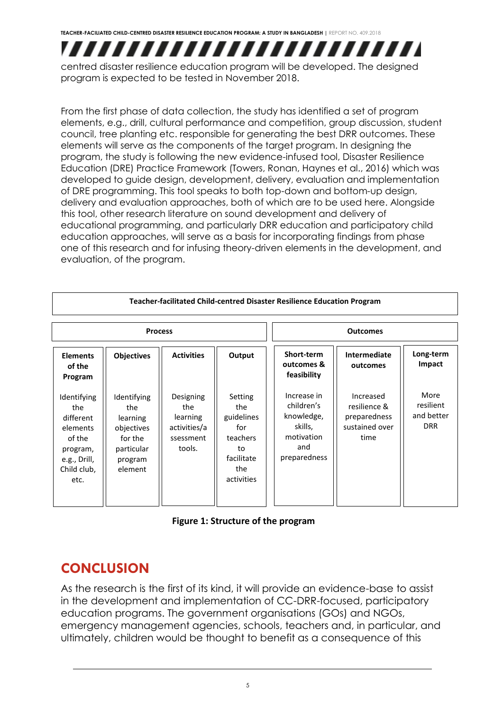## ,,,,,,,,,,,,,,,,,,,,,,,,,

centred disaster resilience education program will be developed. The designed program is expected to be tested in November 2018.

From the first phase of data collection, the study has identified a set of program elements, e.g., drill, cultural performance and competition, group discussion, student council, tree planting etc. responsible for generating the best DRR outcomes. These elements will serve as the components of the target program. In designing the program, the study is following the new evidence-infused tool, Disaster Resilience Education (DRE) Practice Framework (Towers, Ronan, Haynes et al., 2016) which was developed to guide design, development, delivery, evaluation and implementation of DRE programming. This tool speaks to both top-down and bottom-up design, delivery and evaluation approaches, both of which are to be used here. Alongside this tool, other research literature on sound development and delivery of educational programming, and particularly DRR education and participatory child education approaches, will serve as a basis for incorporating findings from phase one of this research and for infusing theory-driven elements in the development, and evaluation, of the program.

| Teacher-facilitated Child-centred Disaster Resilience Education Program                                  |                                                                                             |                                                                     |                                                                                          |                                                                                         |                                                                     |                                               |  |  |  |
|----------------------------------------------------------------------------------------------------------|---------------------------------------------------------------------------------------------|---------------------------------------------------------------------|------------------------------------------------------------------------------------------|-----------------------------------------------------------------------------------------|---------------------------------------------------------------------|-----------------------------------------------|--|--|--|
| <b>Process</b>                                                                                           |                                                                                             |                                                                     |                                                                                          | <b>Outcomes</b>                                                                         |                                                                     |                                               |  |  |  |
| <b>Elements</b><br>of the<br>Program                                                                     | <b>Objectives</b>                                                                           | <b>Activities</b>                                                   | Output                                                                                   | Short-term<br>outcomes &<br>feasibility                                                 | <b>Intermediate</b><br>outcomes                                     | Long-term<br>Impact                           |  |  |  |
| Identifying<br>the<br>different<br>elements<br>of the<br>program,<br>e.g., Drill,<br>Child club,<br>etc. | Identifying<br>the<br>learning<br>objectives<br>for the<br>particular<br>program<br>element | Designing<br>the<br>learning<br>activities/a<br>ssessment<br>tools. | Setting<br>the<br>guidelines<br>for<br>teachers<br>to<br>facilitate<br>the<br>activities | Increase in<br>children's<br>knowledge,<br>skills,<br>motivation<br>and<br>preparedness | Increased<br>resilience &<br>preparedness<br>sustained over<br>time | More<br>resilient<br>and better<br><b>DRR</b> |  |  |  |

#### **Figure 1: Structure of the program**

## <span id="page-7-0"></span>**CONCLUSION**

As the research is the first of its kind, it will provide an evidence-base to assist in the development and implementation of CC-DRR-focused, participatory education programs. The government organisations (GOs) and NGOs, emergency management agencies, schools, teachers and, in particular, and ultimately, children would be thought to benefit as a consequence of this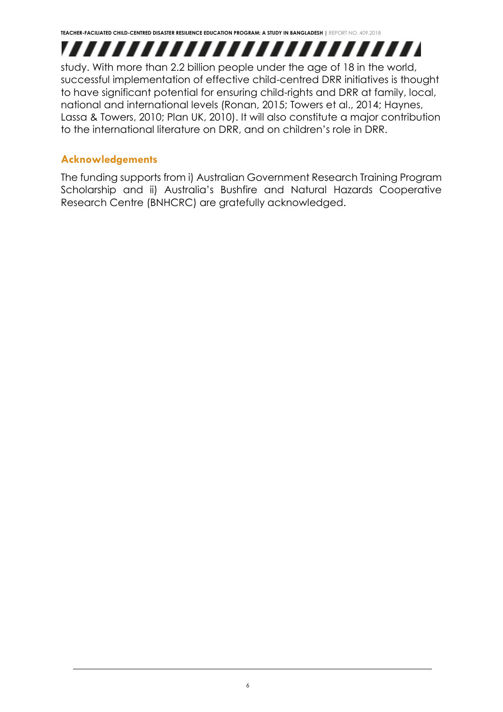,,,,,,,,,,,,,,,,,,,,,,,,,,

study. With more than 2.2 billion people under the age of 18 in the world, successful implementation of effective child-centred DRR initiatives is thought to have significant potential for ensuring child-rights and DRR at family, local, national and international levels (Ronan, 2015; Towers et al., 2014; Haynes, Lassa & Towers, 2010; Plan UK, 2010). It will also constitute a major contribution to the international literature on DRR, and on children's role in DRR.

#### <span id="page-8-0"></span>**Acknowledgements**

The funding supports from i) Australian Government Research Training Program Scholarship and ii) Australia's Bushfire and Natural Hazards Cooperative Research Centre (BNHCRC) are gratefully acknowledged.